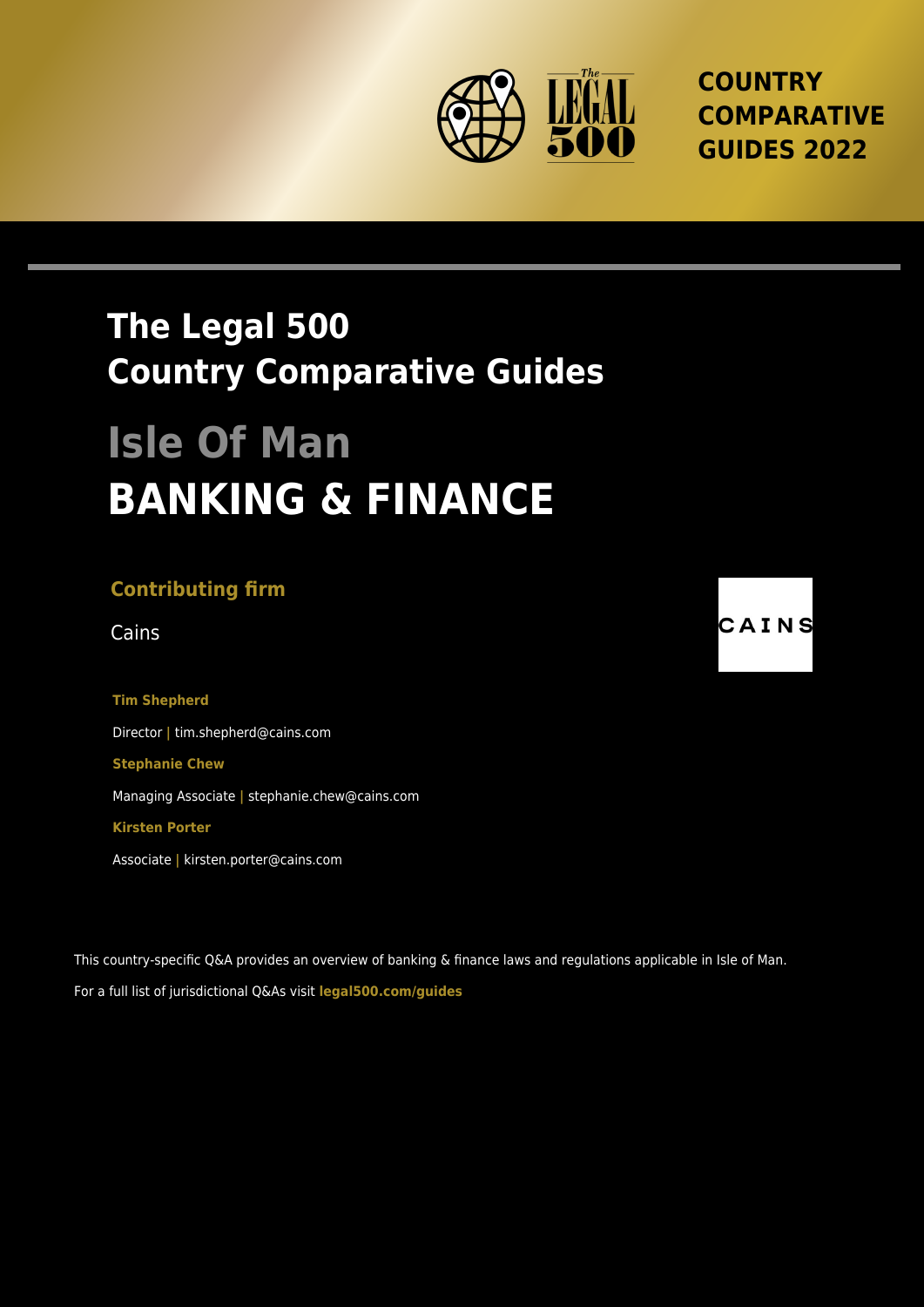

**COUNTRY COMPARATIVE GUIDES 2022**

## **The Legal 500 Country Comparative Guides**

# **Isle Of Man BANKING & FINANCE**

### **Contributing firm**

**Tim Shepherd** Director **|** tim.shepherd@cains.com **Stephanie Chew** Managing Associate **|** stephanie.chew@cains.com **Kirsten Porter**

Associate **|** kirsten.porter@cains.com

This country-specific Q&A provides an overview of banking & finance laws and regulations applicable in Isle of Man. For a full list of jurisdictional Q&As visit **[legal500.com/guides](https://www.legal500.com/guides/)**

Cains **CAINS**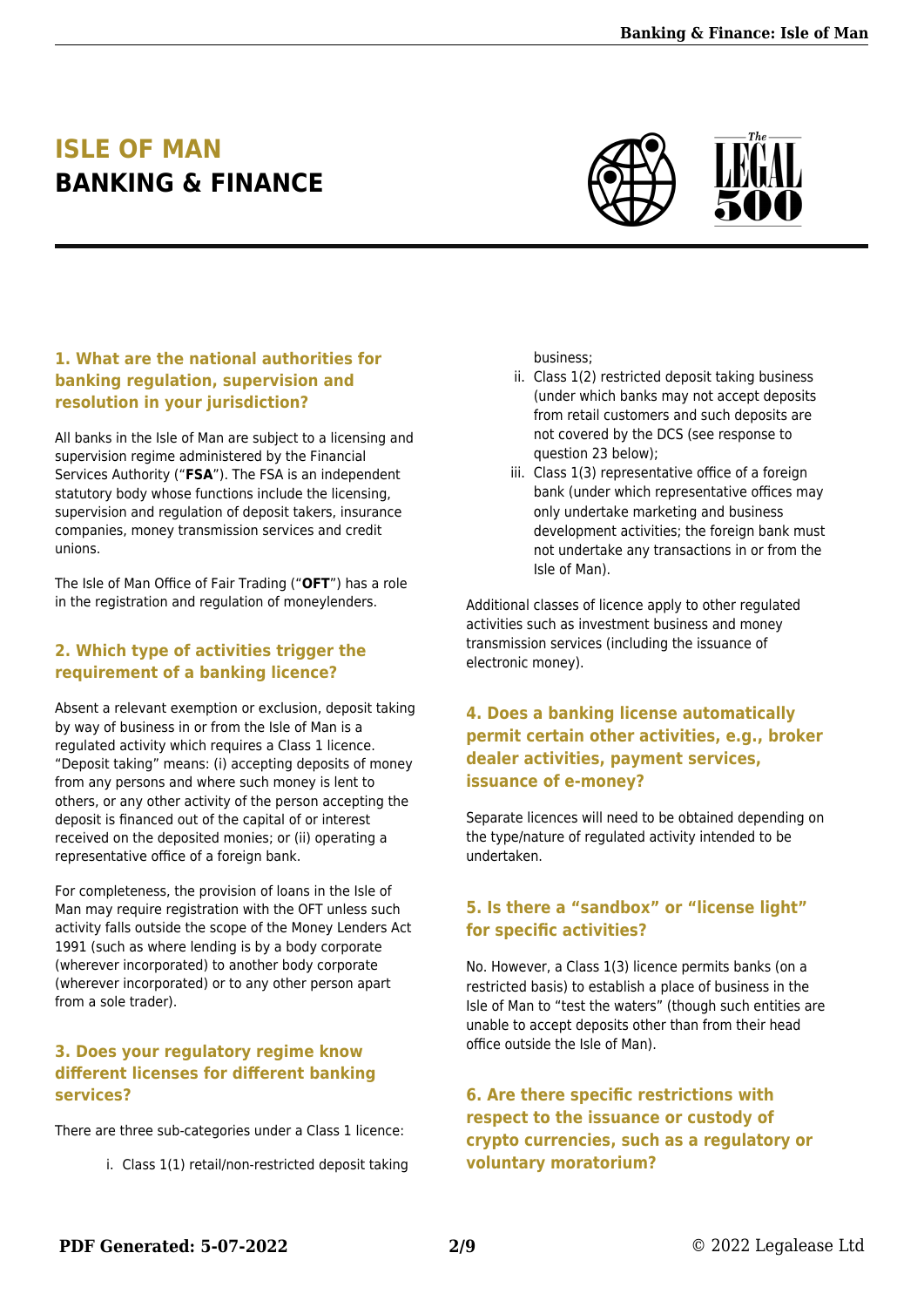## **ISLE OF MAN BANKING & FINANCE**



#### **1. What are the national authorities for banking regulation, supervision and resolution in your jurisdiction?**

All banks in the Isle of Man are subject to a licensing and supervision regime administered by the Financial Services Authority ("**FSA**"). The FSA is an independent statutory body whose functions include the licensing, supervision and regulation of deposit takers, insurance companies, money transmission services and credit unions.

The Isle of Man Office of Fair Trading ("**OFT**") has a role in the registration and regulation of moneylenders.

#### **2. Which type of activities trigger the requirement of a banking licence?**

Absent a relevant exemption or exclusion, deposit taking by way of business in or from the Isle of Man is a regulated activity which requires a Class 1 licence. "Deposit taking" means: (i) accepting deposits of money from any persons and where such money is lent to others, or any other activity of the person accepting the deposit is financed out of the capital of or interest received on the deposited monies; or (ii) operating a representative office of a foreign bank.

For completeness, the provision of loans in the Isle of Man may require registration with the OFT unless such activity falls outside the scope of the Money Lenders Act 1991 (such as where lending is by a body corporate (wherever incorporated) to another body corporate (wherever incorporated) or to any other person apart from a sole trader).

#### **3. Does your regulatory regime know different licenses for different banking services?**

There are three sub-categories under a Class 1 licence:

i. Class 1(1) retail/non-restricted deposit taking

business;

- ii. Class 1(2) restricted deposit taking business (under which banks may not accept deposits from retail customers and such deposits are not covered by the DCS (see response to question 23 below);
- iii. Class 1(3) representative office of a foreign bank (under which representative offices may only undertake marketing and business development activities; the foreign bank must not undertake any transactions in or from the Isle of Man).

Additional classes of licence apply to other regulated activities such as investment business and money transmission services (including the issuance of electronic money).

#### **4. Does a banking license automatically permit certain other activities, e.g., broker dealer activities, payment services, issuance of e-money?**

Separate licences will need to be obtained depending on the type/nature of regulated activity intended to be undertaken.

#### **5. Is there a "sandbox" or "license light" for specific activities?**

No. However, a Class 1(3) licence permits banks (on a restricted basis) to establish a place of business in the Isle of Man to "test the waters" (though such entities are unable to accept deposits other than from their head office outside the Isle of Man).

#### **6. Are there specific restrictions with respect to the issuance or custody of crypto currencies, such as a regulatory or voluntary moratorium?**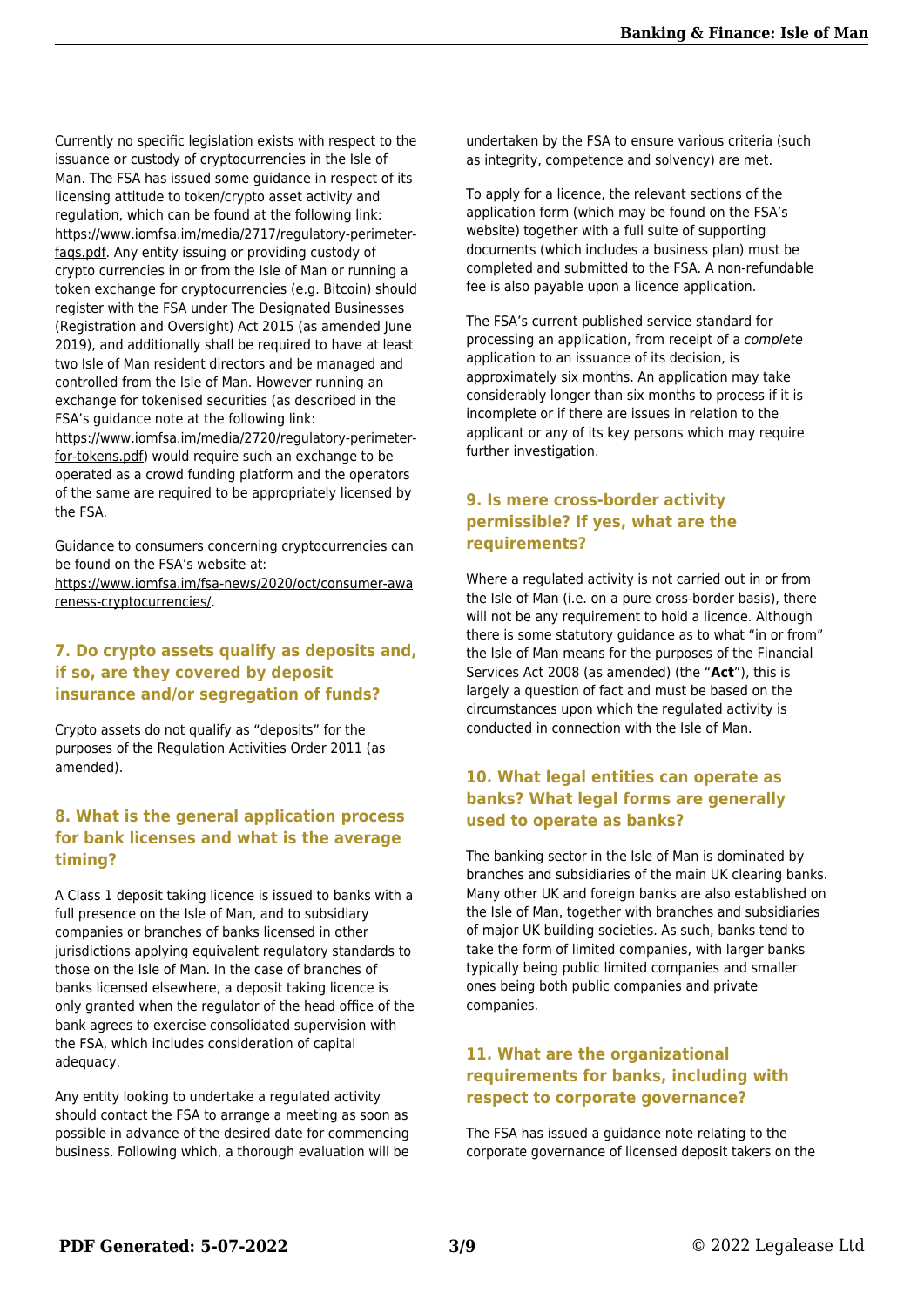Currently no specific legislation exists with respect to the issuance or custody of cryptocurrencies in the Isle of Man. The FSA has issued some guidance in respect of its licensing attitude to token/crypto asset activity and regulation, which can be found at the following link: [https://www.iomfsa.im/media/2717/regulatory-perimeter](https://www.iomfsa.im/media/2717/regulatory-perimeter-faqs.pdf)[faqs.pdf](https://www.iomfsa.im/media/2717/regulatory-perimeter-faqs.pdf). Any entity issuing or providing custody of crypto currencies in or from the Isle of Man or running a token exchange for cryptocurrencies (e.g. Bitcoin) should register with the FSA under The Designated Businesses (Registration and Oversight) Act 2015 (as amended June 2019), and additionally shall be required to have at least two Isle of Man resident directors and be managed and controlled from the Isle of Man. However running an exchange for tokenised securities (as described in the FSA's guidance note at the following link: [https://www.iomfsa.im/media/2720/regulatory-perimeter](https://www.iomfsa.im/media/2720/regulatory-perimeter-for-tokens.pdf)[for-tokens.pdf](https://www.iomfsa.im/media/2720/regulatory-perimeter-for-tokens.pdf)) would require such an exchange to be operated as a crowd funding platform and the operators of the same are required to be appropriately licensed by the FSA.

Guidance to consumers concerning cryptocurrencies can be found on the FSA's website at:

[https://www.iomfsa.im/fsa-news/2020/oct/consumer-awa](https://www.iomfsa.im/fsa-news/2020/oct/consumer-awareness-cryptocurrencies/) [reness-cryptocurrencies/](https://www.iomfsa.im/fsa-news/2020/oct/consumer-awareness-cryptocurrencies/).

#### **7. Do crypto assets qualify as deposits and, if so, are they covered by deposit insurance and/or segregation of funds?**

Crypto assets do not qualify as "deposits" for the purposes of the Regulation Activities Order 2011 (as amended).

#### **8. What is the general application process for bank licenses and what is the average timing?**

A Class 1 deposit taking licence is issued to banks with a full presence on the Isle of Man, and to subsidiary companies or branches of banks licensed in other jurisdictions applying equivalent regulatory standards to those on the Isle of Man. In the case of branches of banks licensed elsewhere, a deposit taking licence is only granted when the regulator of the head office of the bank agrees to exercise consolidated supervision with the FSA, which includes consideration of capital adequacy.

Any entity looking to undertake a regulated activity should contact the FSA to arrange a meeting as soon as possible in advance of the desired date for commencing business. Following which, a thorough evaluation will be undertaken by the FSA to ensure various criteria (such as integrity, competence and solvency) are met.

To apply for a licence, the relevant sections of the application form (which may be found on the FSA's website) together with a full suite of supporting documents (which includes a business plan) must be completed and submitted to the FSA. A non-refundable fee is also payable upon a licence application.

The FSA's current published service standard for processing an application, from receipt of a complete application to an issuance of its decision, is approximately six months. An application may take considerably longer than six months to process if it is incomplete or if there are issues in relation to the applicant or any of its key persons which may require further investigation.

#### **9. Is mere cross-border activity permissible? If yes, what are the requirements?**

Where a regulated activity is not carried out in or from the Isle of Man (i.e. on a pure cross-border basis), there will not be any requirement to hold a licence. Although there is some statutory guidance as to what "in or from" the Isle of Man means for the purposes of the Financial Services Act 2008 (as amended) (the "**Act**"), this is largely a question of fact and must be based on the circumstances upon which the regulated activity is conducted in connection with the Isle of Man.

#### **10. What legal entities can operate as banks? What legal forms are generally used to operate as banks?**

The banking sector in the Isle of Man is dominated by branches and subsidiaries of the main UK clearing banks. Many other UK and foreign banks are also established on the Isle of Man, together with branches and subsidiaries of major UK building societies. As such, banks tend to take the form of limited companies, with larger banks typically being public limited companies and smaller ones being both public companies and private companies.

#### **11. What are the organizational requirements for banks, including with respect to corporate governance?**

The FSA has issued a guidance note relating to the corporate governance of licensed deposit takers on the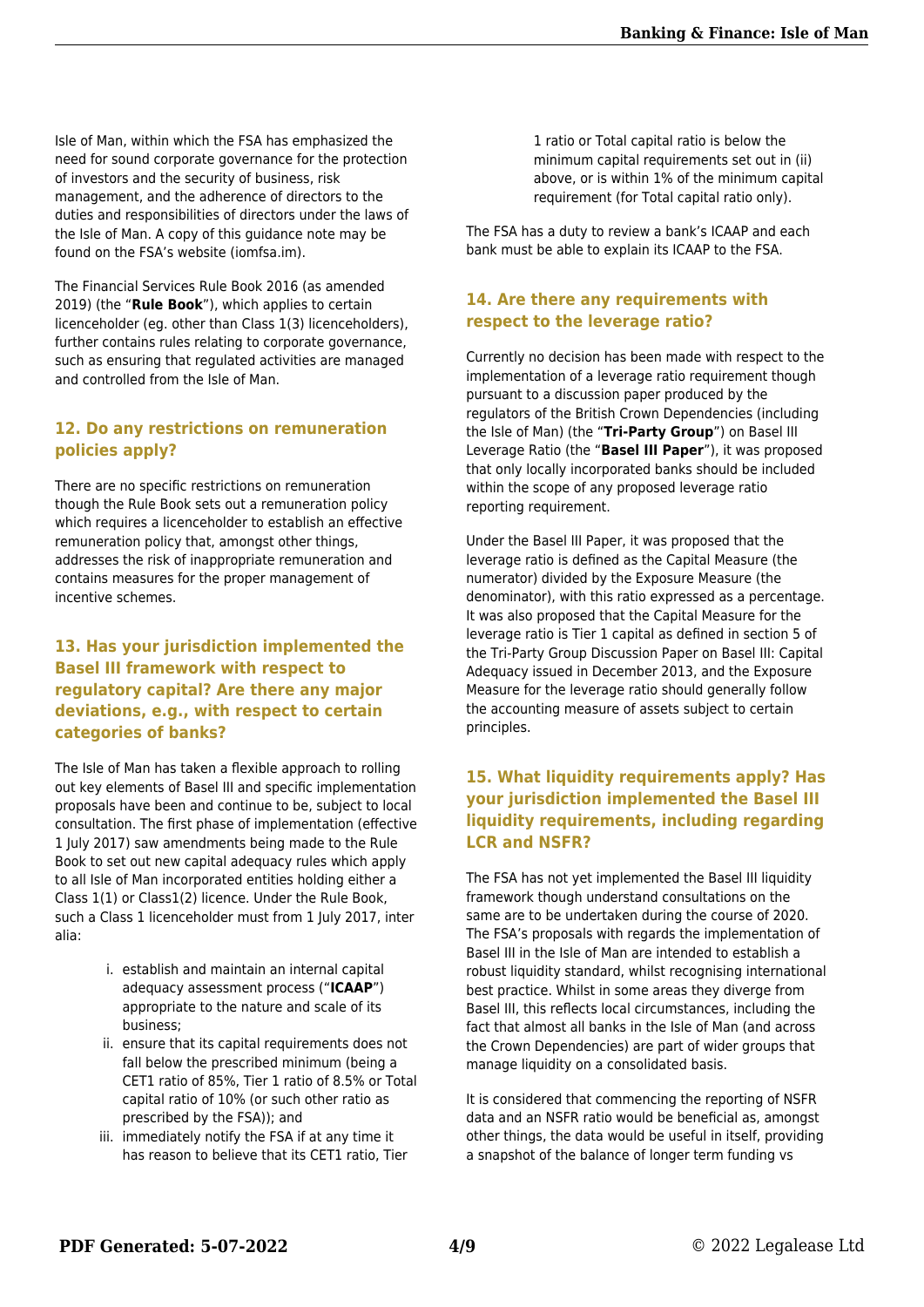Isle of Man, within which the FSA has emphasized the need for sound corporate governance for the protection of investors and the security of business, risk management, and the adherence of directors to the duties and responsibilities of directors under the laws of the Isle of Man. A copy of this guidance note may be found on the FSA's website (iomfsa.im).

The Financial Services Rule Book 2016 (as amended 2019) (the "**Rule Book**"), which applies to certain licenceholder (eg. other than Class 1(3) licenceholders), further contains rules relating to corporate governance, such as ensuring that regulated activities are managed and controlled from the Isle of Man.

#### **12. Do any restrictions on remuneration policies apply?**

There are no specific restrictions on remuneration though the Rule Book sets out a remuneration policy which requires a licenceholder to establish an effective remuneration policy that, amongst other things, addresses the risk of inappropriate remuneration and contains measures for the proper management of incentive schemes.

#### **13. Has your jurisdiction implemented the Basel III framework with respect to regulatory capital? Are there any major deviations, e.g., with respect to certain categories of banks?**

The Isle of Man has taken a flexible approach to rolling out key elements of Basel III and specific implementation proposals have been and continue to be, subject to local consultation. The first phase of implementation (effective 1 July 2017) saw amendments being made to the Rule Book to set out new capital adequacy rules which apply to all Isle of Man incorporated entities holding either a Class 1(1) or Class1(2) licence. Under the Rule Book, such a Class 1 licenceholder must from 1 July 2017, inter alia:

- i. establish and maintain an internal capital adequacy assessment process ("**ICAAP**") appropriate to the nature and scale of its business;
- ii. ensure that its capital requirements does not fall below the prescribed minimum (being a CET1 ratio of 85%, Tier 1 ratio of 8.5% or Total capital ratio of 10% (or such other ratio as prescribed by the FSA)); and
- iii. immediately notify the FSA if at any time it has reason to believe that its CET1 ratio, Tier

1 ratio or Total capital ratio is below the minimum capital requirements set out in (ii) above, or is within 1% of the minimum capital requirement (for Total capital ratio only).

The FSA has a duty to review a bank's ICAAP and each bank must be able to explain its ICAAP to the FSA.

#### **14. Are there any requirements with respect to the leverage ratio?**

Currently no decision has been made with respect to the implementation of a leverage ratio requirement though pursuant to a discussion paper produced by the regulators of the British Crown Dependencies (including the Isle of Man) (the "**Tri-Party Group**") on Basel III Leverage Ratio (the "**Basel III Paper**"), it was proposed that only locally incorporated banks should be included within the scope of any proposed leverage ratio reporting requirement.

Under the Basel III Paper, it was proposed that the leverage ratio is defined as the Capital Measure (the numerator) divided by the Exposure Measure (the denominator), with this ratio expressed as a percentage. It was also proposed that the Capital Measure for the leverage ratio is Tier 1 capital as defined in section 5 of the Tri-Party Group Discussion Paper on Basel III: Capital Adequacy issued in December 2013, and the Exposure Measure for the leverage ratio should generally follow the accounting measure of assets subject to certain principles.

#### **15. What liquidity requirements apply? Has your jurisdiction implemented the Basel III liquidity requirements, including regarding LCR and NSFR?**

The FSA has not yet implemented the Basel III liquidity framework though understand consultations on the same are to be undertaken during the course of 2020. The FSA's proposals with regards the implementation of Basel III in the Isle of Man are intended to establish a robust liquidity standard, whilst recognising international best practice. Whilst in some areas they diverge from Basel III, this reflects local circumstances, including the fact that almost all banks in the Isle of Man (and across the Crown Dependencies) are part of wider groups that manage liquidity on a consolidated basis.

It is considered that commencing the reporting of NSFR data and an NSFR ratio would be beneficial as, amongst other things, the data would be useful in itself, providing a snapshot of the balance of longer term funding vs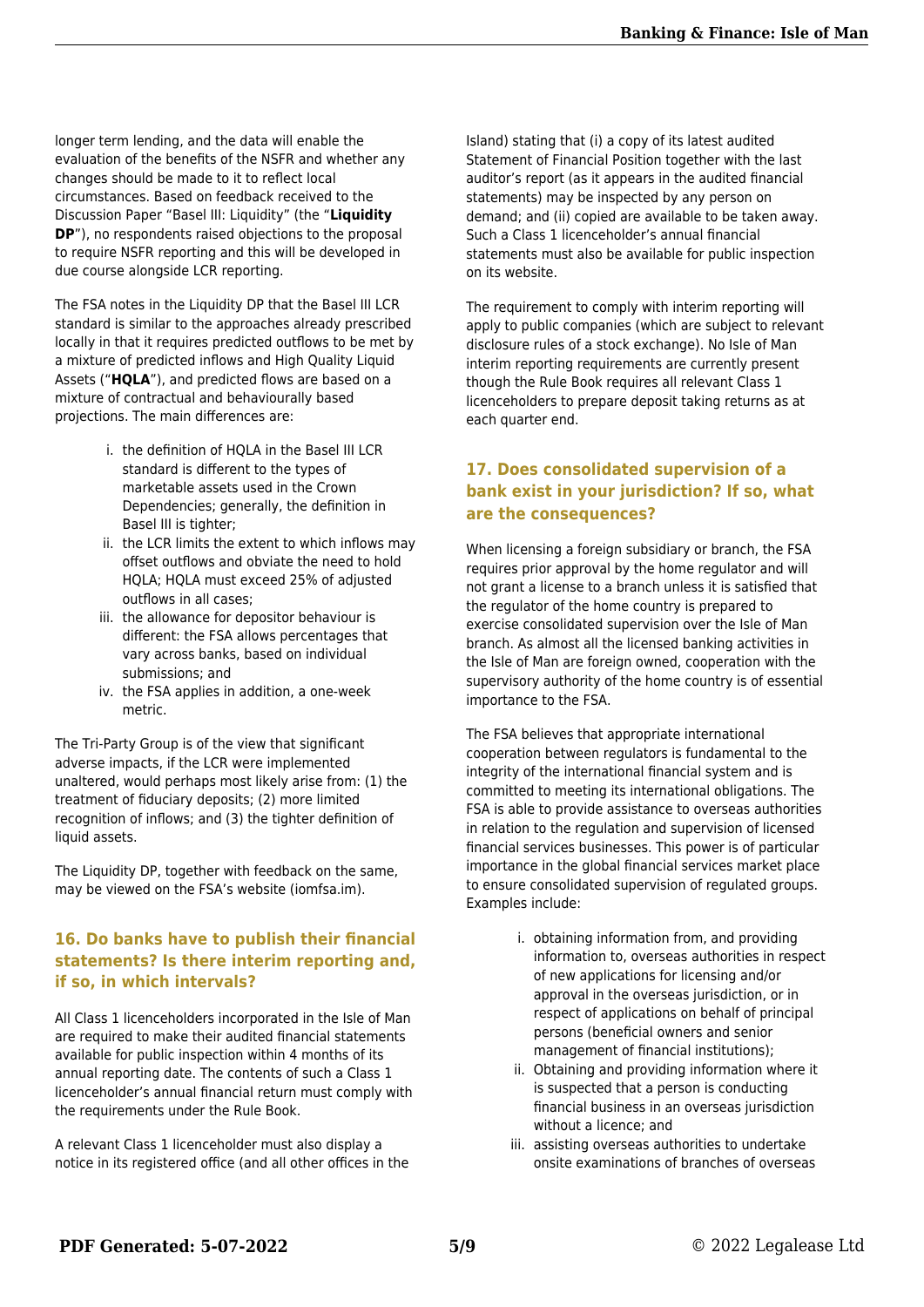longer term lending, and the data will enable the evaluation of the benefits of the NSFR and whether any changes should be made to it to reflect local circumstances. Based on feedback received to the Discussion Paper "Basel III: Liquidity" (the "**Liquidity DP**"), no respondents raised objections to the proposal to require NSFR reporting and this will be developed in due course alongside LCR reporting.

The FSA notes in the Liquidity DP that the Basel III LCR standard is similar to the approaches already prescribed locally in that it requires predicted outflows to be met by a mixture of predicted inflows and High Quality Liquid Assets ("**HQLA**"), and predicted flows are based on a mixture of contractual and behaviourally based projections. The main differences are:

- i. the definition of HQLA in the Basel III LCR standard is different to the types of marketable assets used in the Crown Dependencies; generally, the definition in Basel III is tighter;
- ii. the LCR limits the extent to which inflows may offset outflows and obviate the need to hold HQLA; HQLA must exceed 25% of adjusted outflows in all cases;
- iii. the allowance for depositor behaviour is different: the FSA allows percentages that vary across banks, based on individual submissions; and
- iv. the FSA applies in addition, a one-week metric.

The Tri-Party Group is of the view that significant adverse impacts, if the LCR were implemented unaltered, would perhaps most likely arise from: (1) the treatment of fiduciary deposits; (2) more limited recognition of inflows; and (3) the tighter definition of liquid assets.

The Liquidity DP, together with feedback on the same, may be viewed on the FSA's website (iomfsa.im).

#### **16. Do banks have to publish their financial statements? Is there interim reporting and, if so, in which intervals?**

All Class 1 licenceholders incorporated in the Isle of Man are required to make their audited financial statements available for public inspection within 4 months of its annual reporting date. The contents of such a Class 1 licenceholder's annual financial return must comply with the requirements under the Rule Book.

A relevant Class 1 licenceholder must also display a notice in its registered office (and all other offices in the Island) stating that (i) a copy of its latest audited Statement of Financial Position together with the last auditor's report (as it appears in the audited financial statements) may be inspected by any person on demand; and (ii) copied are available to be taken away. Such a Class 1 licenceholder's annual financial statements must also be available for public inspection on its website.

The requirement to comply with interim reporting will apply to public companies (which are subject to relevant disclosure rules of a stock exchange). No Isle of Man interim reporting requirements are currently present though the Rule Book requires all relevant Class 1 licenceholders to prepare deposit taking returns as at each quarter end.

#### **17. Does consolidated supervision of a bank exist in your jurisdiction? If so, what are the consequences?**

When licensing a foreign subsidiary or branch, the FSA requires prior approval by the home regulator and will not grant a license to a branch unless it is satisfied that the regulator of the home country is prepared to exercise consolidated supervision over the Isle of Man branch. As almost all the licensed banking activities in the Isle of Man are foreign owned, cooperation with the supervisory authority of the home country is of essential importance to the FSA.

The FSA believes that appropriate international cooperation between regulators is fundamental to the integrity of the international financial system and is committed to meeting its international obligations. The FSA is able to provide assistance to overseas authorities in relation to the regulation and supervision of licensed financial services businesses. This power is of particular importance in the global financial services market place to ensure consolidated supervision of regulated groups. Examples include:

- i. obtaining information from, and providing information to, overseas authorities in respect of new applications for licensing and/or approval in the overseas jurisdiction, or in respect of applications on behalf of principal persons (beneficial owners and senior management of financial institutions);
- ii. Obtaining and providing information where it is suspected that a person is conducting financial business in an overseas jurisdiction without a licence; and
- iii. assisting overseas authorities to undertake onsite examinations of branches of overseas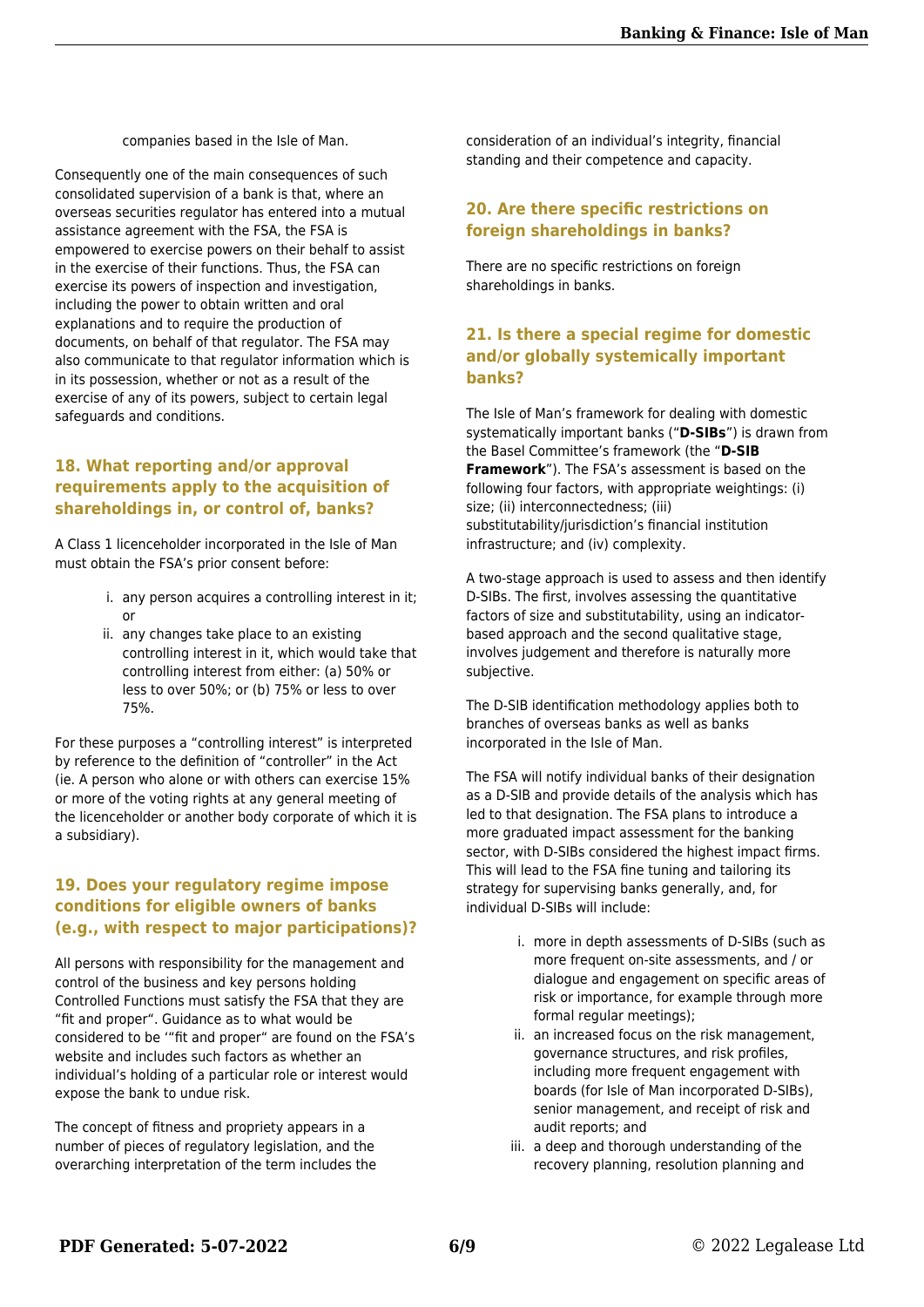companies based in the Isle of Man.

Consequently one of the main consequences of such consolidated supervision of a bank is that, where an overseas securities regulator has entered into a mutual assistance agreement with the FSA, the FSA is empowered to exercise powers on their behalf to assist in the exercise of their functions. Thus, the FSA can exercise its powers of inspection and investigation, including the power to obtain written and oral explanations and to require the production of documents, on behalf of that regulator. The FSA may also communicate to that regulator information which is in its possession, whether or not as a result of the exercise of any of its powers, subject to certain legal safeguards and conditions.

#### **18. What reporting and/or approval requirements apply to the acquisition of shareholdings in, or control of, banks?**

A Class 1 licenceholder incorporated in the Isle of Man must obtain the FSA's prior consent before:

- i. any person acquires a controlling interest in it; or
- ii. any changes take place to an existing controlling interest in it, which would take that controlling interest from either: (a) 50% or less to over 50%; or (b) 75% or less to over 75%.

For these purposes a "controlling interest" is interpreted by reference to the definition of "controller" in the Act (ie. A person who alone or with others can exercise 15% or more of the voting rights at any general meeting of the licenceholder or another body corporate of which it is a subsidiary).

#### **19. Does your regulatory regime impose conditions for eligible owners of banks (e.g., with respect to major participations)?**

All persons with responsibility for the management and control of the business and key persons holding Controlled Functions must satisfy the FSA that they are "fit and proper". Guidance as to what would be considered to be '"fit and proper" are found on the FSA's website and includes such factors as whether an individual's holding of a particular role or interest would expose the bank to undue risk.

The concept of fitness and propriety appears in a number of pieces of regulatory legislation, and the overarching interpretation of the term includes the consideration of an individual's integrity, financial standing and their competence and capacity.

#### **20. Are there specific restrictions on foreign shareholdings in banks?**

There are no specific restrictions on foreign shareholdings in banks.

#### **21. Is there a special regime for domestic and/or globally systemically important banks?**

The Isle of Man's framework for dealing with domestic systematically important banks ("**D-SIBs**") is drawn from the Basel Committee's framework (the "**D-SIB Framework**"). The FSA's assessment is based on the following four factors, with appropriate weightings: (i) size; (ii) interconnectedness; (iii) substitutability/jurisdiction's financial institution infrastructure; and (iv) complexity.

A two-stage approach is used to assess and then identify D-SIBs. The first, involves assessing the quantitative factors of size and substitutability, using an indicatorbased approach and the second qualitative stage, involves judgement and therefore is naturally more subjective.

The D-SIB identification methodology applies both to branches of overseas banks as well as banks incorporated in the Isle of Man.

The FSA will notify individual banks of their designation as a D-SIB and provide details of the analysis which has led to that designation. The FSA plans to introduce a more graduated impact assessment for the banking sector, with D-SIBs considered the highest impact firms. This will lead to the FSA fine tuning and tailoring its strategy for supervising banks generally, and, for individual D-SIBs will include:

- i. more in depth assessments of D-SIBs (such as more frequent on-site assessments, and / or dialogue and engagement on specific areas of risk or importance, for example through more formal regular meetings):
- ii. an increased focus on the risk management, governance structures, and risk profiles, including more frequent engagement with boards (for Isle of Man incorporated D-SIBs), senior management, and receipt of risk and audit reports; and
- iii. a deep and thorough understanding of the recovery planning, resolution planning and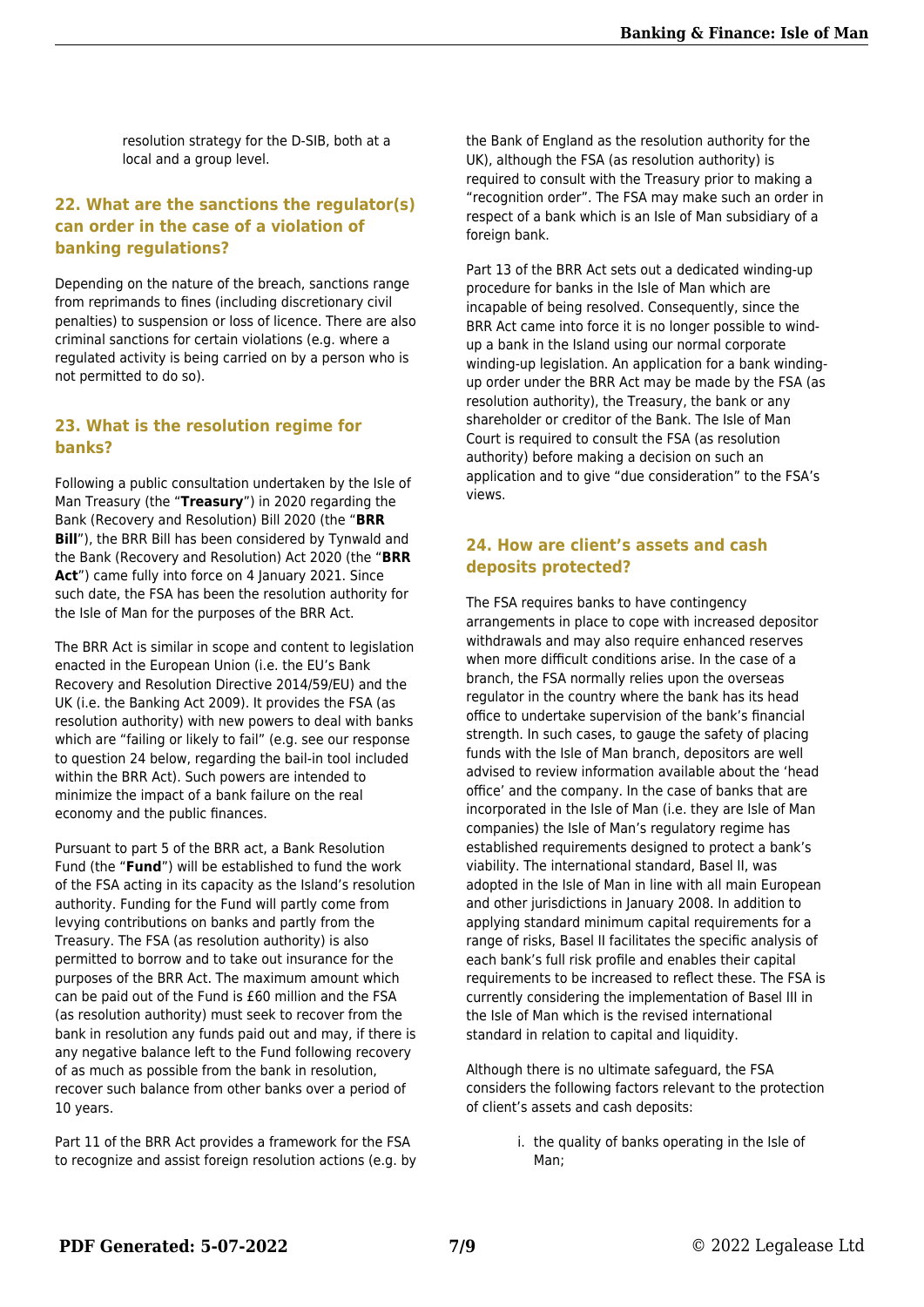resolution strategy for the D-SIB, both at a local and a group level.

#### **22. What are the sanctions the regulator(s) can order in the case of a violation of banking regulations?**

Depending on the nature of the breach, sanctions range from reprimands to fines (including discretionary civil penalties) to suspension or loss of licence. There are also criminal sanctions for certain violations (e.g. where a regulated activity is being carried on by a person who is not permitted to do so).

#### **23. What is the resolution regime for banks?**

Following a public consultation undertaken by the Isle of Man Treasury (the "**Treasury**") in 2020 regarding the Bank (Recovery and Resolution) Bill 2020 (the "**BRR Bill**"), the BRR Bill has been considered by Tynwald and the Bank (Recovery and Resolution) Act 2020 (the "**BRR Act**") came fully into force on 4 January 2021. Since such date, the FSA has been the resolution authority for the Isle of Man for the purposes of the BRR Act.

The BRR Act is similar in scope and content to legislation enacted in the European Union (i.e. the EU's Bank Recovery and Resolution Directive 2014/59/EU) and the UK (i.e. the Banking Act 2009). It provides the FSA (as resolution authority) with new powers to deal with banks which are "failing or likely to fail" (e.g. see our response to question 24 below, regarding the bail-in tool included within the BRR Act). Such powers are intended to minimize the impact of a bank failure on the real economy and the public finances.

Pursuant to part 5 of the BRR act, a Bank Resolution Fund (the "**Fund**") will be established to fund the work of the FSA acting in its capacity as the Island's resolution authority. Funding for the Fund will partly come from levying contributions on banks and partly from the Treasury. The FSA (as resolution authority) is also permitted to borrow and to take out insurance for the purposes of the BRR Act. The maximum amount which can be paid out of the Fund is £60 million and the FSA (as resolution authority) must seek to recover from the bank in resolution any funds paid out and may, if there is any negative balance left to the Fund following recovery of as much as possible from the bank in resolution, recover such balance from other banks over a period of 10 years.

Part 11 of the BRR Act provides a framework for the FSA to recognize and assist foreign resolution actions (e.g. by the Bank of England as the resolution authority for the UK), although the FSA (as resolution authority) is required to consult with the Treasury prior to making a "recognition order". The FSA may make such an order in respect of a bank which is an Isle of Man subsidiary of a foreign bank.

Part 13 of the BRR Act sets out a dedicated winding-up procedure for banks in the Isle of Man which are incapable of being resolved. Consequently, since the BRR Act came into force it is no longer possible to windup a bank in the Island using our normal corporate winding-up legislation. An application for a bank windingup order under the BRR Act may be made by the FSA (as resolution authority), the Treasury, the bank or any shareholder or creditor of the Bank. The Isle of Man Court is required to consult the FSA (as resolution authority) before making a decision on such an application and to give "due consideration" to the FSA's views.

#### **24. How are client's assets and cash deposits protected?**

The FSA requires banks to have contingency arrangements in place to cope with increased depositor withdrawals and may also require enhanced reserves when more difficult conditions arise. In the case of a branch, the FSA normally relies upon the overseas regulator in the country where the bank has its head office to undertake supervision of the bank's financial strength. In such cases, to gauge the safety of placing funds with the Isle of Man branch, depositors are well advised to review information available about the 'head office' and the company. In the case of banks that are incorporated in the Isle of Man (i.e. they are Isle of Man companies) the Isle of Man's regulatory regime has established requirements designed to protect a bank's viability. The international standard, Basel II, was adopted in the Isle of Man in line with all main European and other jurisdictions in January 2008. In addition to applying standard minimum capital requirements for a range of risks, Basel II facilitates the specific analysis of each bank's full risk profile and enables their capital requirements to be increased to reflect these. The FSA is currently considering the implementation of Basel III in the Isle of Man which is the revised international standard in relation to capital and liquidity.

Although there is no ultimate safeguard, the FSA considers the following factors relevant to the protection of client's assets and cash deposits:

> i. the quality of banks operating in the Isle of Man;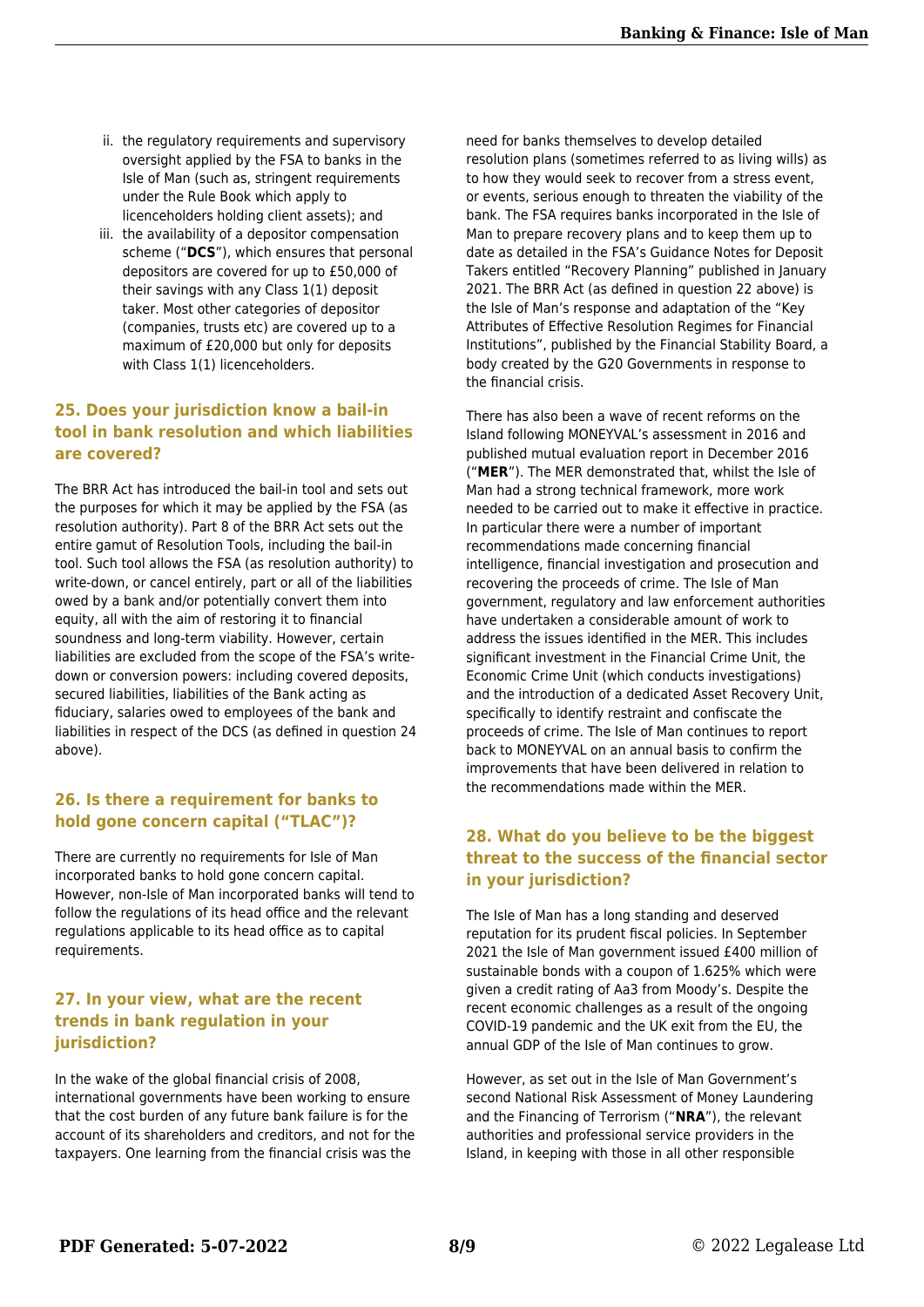- ii. the regulatory requirements and supervisory oversight applied by the FSA to banks in the Isle of Man (such as, stringent requirements under the Rule Book which apply to licenceholders holding client assets); and
- iii. the availability of a depositor compensation scheme ("**DCS**"), which ensures that personal depositors are covered for up to £50,000 of their savings with any Class 1(1) deposit taker. Most other categories of depositor (companies, trusts etc) are covered up to a maximum of £20,000 but only for deposits with Class 1(1) licenceholders.

#### **25. Does your jurisdiction know a bail-in tool in bank resolution and which liabilities are covered?**

The BRR Act has introduced the bail-in tool and sets out the purposes for which it may be applied by the FSA (as resolution authority). Part 8 of the BRR Act sets out the entire gamut of Resolution Tools, including the bail-in tool. Such tool allows the FSA (as resolution authority) to write-down, or cancel entirely, part or all of the liabilities owed by a bank and/or potentially convert them into equity, all with the aim of restoring it to financial soundness and long-term viability. However, certain liabilities are excluded from the scope of the FSA's writedown or conversion powers: including covered deposits, secured liabilities, liabilities of the Bank acting as fiduciary, salaries owed to employees of the bank and liabilities in respect of the DCS (as defined in question 24 above).

#### **26. Is there a requirement for banks to hold gone concern capital ("TLAC")?**

There are currently no requirements for Isle of Man incorporated banks to hold gone concern capital. However, non-Isle of Man incorporated banks will tend to follow the regulations of its head office and the relevant regulations applicable to its head office as to capital requirements.

#### **27. In your view, what are the recent trends in bank regulation in your jurisdiction?**

In the wake of the global financial crisis of 2008, international governments have been working to ensure that the cost burden of any future bank failure is for the account of its shareholders and creditors, and not for the taxpayers. One learning from the financial crisis was the

need for banks themselves to develop detailed resolution plans (sometimes referred to as living wills) as to how they would seek to recover from a stress event, or events, serious enough to threaten the viability of the bank. The FSA requires banks incorporated in the Isle of Man to prepare recovery plans and to keep them up to date as detailed in the FSA's Guidance Notes for Deposit Takers entitled "Recovery Planning" published in January 2021. The BRR Act (as defined in question 22 above) is the Isle of Man's response and adaptation of the "Key Attributes of Effective Resolution Regimes for Financial Institutions", published by the Financial Stability Board, a body created by the G20 Governments in response to the financial crisis.

There has also been a wave of recent reforms on the Island following MONEYVAL's assessment in 2016 and published mutual evaluation report in December 2016 ("**MER**"). The MER demonstrated that, whilst the Isle of Man had a strong technical framework, more work needed to be carried out to make it effective in practice. In particular there were a number of important recommendations made concerning financial intelligence, financial investigation and prosecution and recovering the proceeds of crime. The Isle of Man government, regulatory and law enforcement authorities have undertaken a considerable amount of work to address the issues identified in the MER. This includes significant investment in the Financial Crime Unit, the Economic Crime Unit (which conducts investigations) and the introduction of a dedicated Asset Recovery Unit, specifically to identify restraint and confiscate the proceeds of crime. The Isle of Man continues to report back to MONEYVAL on an annual basis to confirm the improvements that have been delivered in relation to the recommendations made within the MER.

#### **28. What do you believe to be the biggest threat to the success of the financial sector in your jurisdiction?**

The Isle of Man has a long standing and deserved reputation for its prudent fiscal policies. In September 2021 the Isle of Man government issued £400 million of sustainable bonds with a coupon of 1.625% which were given a credit rating of Aa3 from Moody's. Despite the recent economic challenges as a result of the ongoing COVID-19 pandemic and the UK exit from the EU, the annual GDP of the Isle of Man continues to grow.

However, as set out in the Isle of Man Government's second National Risk Assessment of Money Laundering and the Financing of Terrorism ("**NRA**"), the relevant authorities and professional service providers in the Island, in keeping with those in all other responsible